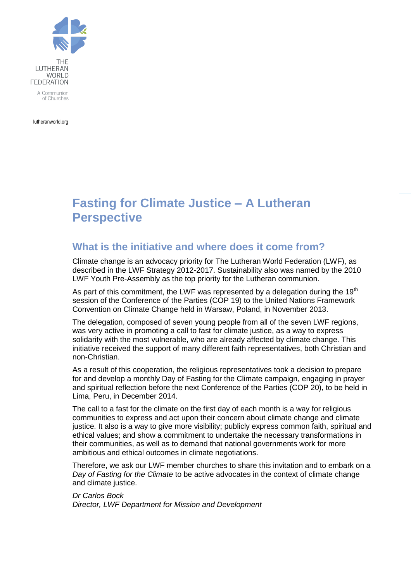

lutheranworld.org

# **Fasting for Climate Justice – A Lutheran Perspective**

#### **What is the initiative and where does it come from?**

Climate change is an advocacy priority for The Lutheran World Federation (LWF), as described in the LWF Strategy 2012-2017. Sustainability also was named by the 2010 LWF Youth Pre-Assembly as the top priority for the Lutheran communion.

As part of this commitment, the LWF was represented by a delegation during the  $19<sup>th</sup>$ session of the Conference of the Parties (COP 19) to the United Nations Framework Convention on Climate Change held in Warsaw, Poland, in November 2013.

The delegation, composed of seven young people from all of the seven LWF regions, was very active in promoting a call to fast for climate justice, as a way to express solidarity with the most vulnerable, who are already affected by climate change. This initiative received the support of many different faith representatives, both Christian and non-Christian.

As a result of this cooperation, the religious representatives took a decision to prepare for and develop a monthly Day of Fasting for the Climate campaign, engaging in prayer and spiritual reflection before the next Conference of the Parties (COP 20), to be held in Lima, Peru, in December 2014.

The call to a fast for the climate on the first day of each month is a way for religious communities to express and act upon their concern about climate change and climate justice. It also is a way to give more visibility; publicly express common faith, spiritual and ethical values; and show a commitment to undertake the necessary transformations in their communities, as well as to demand that national governments work for more ambitious and ethical outcomes in climate negotiations.

Therefore, we ask our LWF member churches to share this invitation and to embark on a *Day of Fasting for the Climate* to be active advocates in the context of climate change and climate justice.

*Dr Carlos Bock Director, LWF Department for Mission and Development*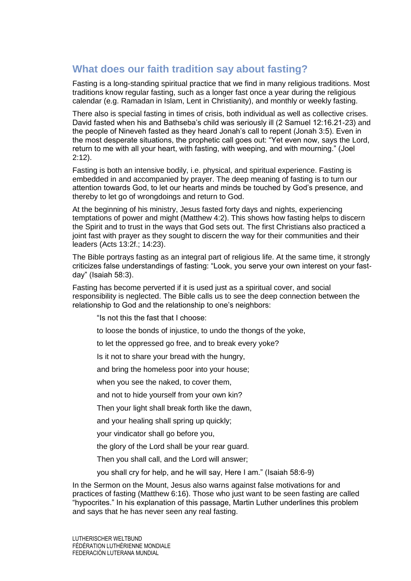## **What does our faith tradition say about fasting?**

Fasting is a long-standing spiritual practice that we find in many religious traditions. Most traditions know regular fasting, such as a longer fast once a year during the religious calendar (e.g. Ramadan in Islam, Lent in Christianity), and monthly or weekly fasting.

There also is special fasting in times of crisis, both individual as well as collective crises. David fasted when his and Bathseba's child was seriously ill (2 Samuel 12:16.21-23) and the people of Nineveh fasted as they heard Jonah's call to repent (Jonah 3:5). Even in the most desperate situations, the prophetic call goes out: "Yet even now, says the Lord, return to me with all your heart, with fasting, with weeping, and with mourning." (Joel 2:12).

Fasting is both an intensive bodily, i.e. physical, and spiritual experience. Fasting is embedded in and accompanied by prayer. The deep meaning of fasting is to turn our attention towards God, to let our hearts and minds be touched by God's presence, and thereby to let go of wrongdoings and return to God.

At the beginning of his ministry, Jesus fasted forty days and nights, experiencing temptations of power and might (Matthew 4:2). This shows how fasting helps to discern the Spirit and to trust in the ways that God sets out. The first Christians also practiced a joint fast with prayer as they sought to discern the way for their communities and their leaders (Acts 13:2f.; 14:23).

The Bible portrays fasting as an integral part of religious life. At the same time, it strongly criticizes false understandings of fasting: "Look, you serve your own interest on your fastday" (Isaiah 58:3).

Fasting has become perverted if it is used just as a spiritual cover, and social responsibility is neglected. The Bible calls us to see the deep connection between the relationship to God and the relationship to one's neighbors:

"Is not this the fast that I choose:

- to loose the bonds of injustice, to undo the thongs of the yoke,
- to let the oppressed go free, and to break every yoke?

Is it not to share your bread with the hungry,

and bring the homeless poor into your house;

when you see the naked, to cover them,

and not to hide yourself from your own kin?

Then your light shall break forth like the dawn,

and your healing shall spring up quickly;

your vindicator shall go before you,

the glory of the Lord shall be your rear guard.

Then you shall call, and the Lord will answer;

you shall cry for help, and he will say, Here I am." (Isaiah 58:6-9)

In the Sermon on the Mount, Jesus also warns against false motivations for and practices of fasting (Matthew 6:16). Those who just want to be seen fasting are called "hypocrites." In his explanation of this passage, Martin Luther underlines this problem and says that he has never seen any real fasting.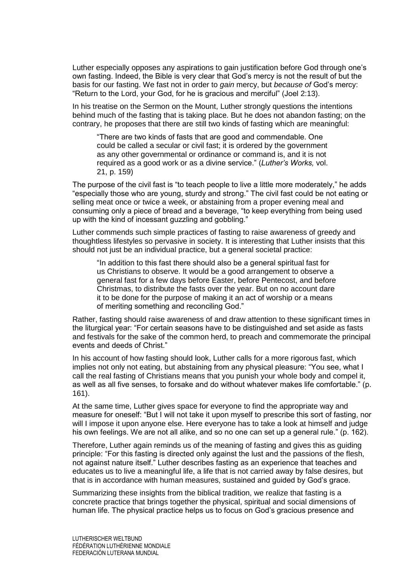Luther especially opposes any aspirations to gain justification before God through one's own fasting. Indeed, the Bible is very clear that God's mercy is not the result of but the basis for our fasting. We fast not in order to *gain* mercy, but *because of* God's mercy: "Return to the Lord, your God, for he is gracious and merciful" (Joel 2:13).

In his treatise on the Sermon on the Mount, Luther strongly questions the intentions behind much of the fasting that is taking place. But he does not abandon fasting; on the contrary, he proposes that there are still two kinds of fasting which are meaningful:

"There are two kinds of fasts that are good and commendable. One could be called a secular or civil fast; it is ordered by the government as any other governmental or ordinance or command is, and it is not required as a good work or as a divine service." (*Luther's Works,* vol. 21, p. 159)

The purpose of the civil fast is "to teach people to live a little more moderately," he adds "especially those who are young, sturdy and strong." The civil fast could be not eating or selling meat once or twice a week, or abstaining from a proper evening meal and consuming only a piece of bread and a beverage, "to keep everything from being used up with the kind of incessant guzzling and gobbling."

Luther commends such simple practices of fasting to raise awareness of greedy and thoughtless lifestyles so pervasive in society. It is interesting that Luther insists that this should not just be an individual practice, but a general societal practice:

"In addition to this fast there should also be a general spiritual fast for us Christians to observe. It would be a good arrangement to observe a general fast for a few days before Easter, before Pentecost, and before Christmas, to distribute the fasts over the year. But on no account dare it to be done for the purpose of making it an act of worship or a means of meriting something and reconciling God."

Rather, fasting should raise awareness of and draw attention to these significant times in the liturgical year: "For certain seasons have to be distinguished and set aside as fasts and festivals for the sake of the common herd, to preach and commemorate the principal events and deeds of Christ."

In his account of how fasting should look, Luther calls for a more rigorous fast, which implies not only not eating, but abstaining from any physical pleasure: "You see, what I call the real fasting of Christians means that you punish your whole body and compel it, as well as all five senses, to forsake and do without whatever makes life comfortable." (p. 161).

At the same time, Luther gives space for everyone to find the appropriate way and measure for oneself: "But I will not take it upon myself to prescribe this sort of fasting, nor will I impose it upon anyone else. Here everyone has to take a look at himself and judge his own feelings. We are not all alike, and so no one can set up a general rule." (p. 162).

Therefore, Luther again reminds us of the meaning of fasting and gives this as guiding principle: "For this fasting is directed only against the lust and the passions of the flesh, not against nature itself." Luther describes fasting as an experience that teaches and educates us to live a meaningful life, a life that is not carried away by false desires, but that is in accordance with human measures, sustained and guided by God's grace.

Summarizing these insights from the biblical tradition, we realize that fasting is a concrete practice that brings together the physical, spiritual and social dimensions of human life. The physical practice helps us to focus on God's gracious presence and